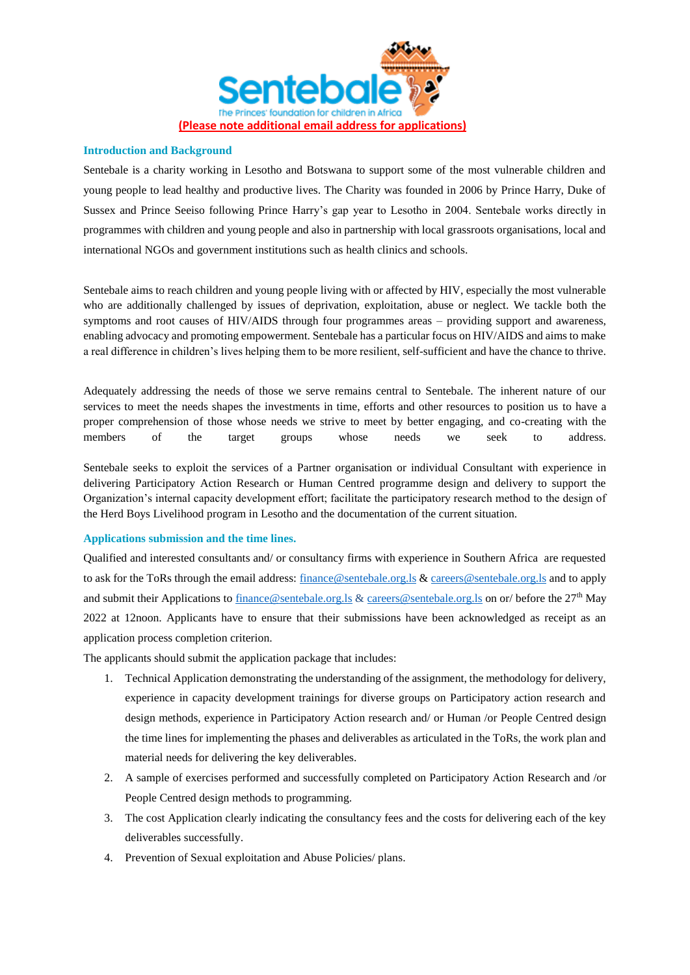

## **Introduction and Background**

Sentebale is a charity working in Lesotho and Botswana to support some of the most vulnerable children and young people to lead healthy and productive lives. The Charity was founded in 2006 by Prince Harry, Duke of Sussex and Prince Seeiso following Prince Harry's gap year to Lesotho in 2004. Sentebale works directly in programmes with children and young people and also in partnership with local grassroots organisations, local and international NGOs and government institutions such as health clinics and schools.

Sentebale aims to reach children and young people living with or affected by HIV, especially the most vulnerable who are additionally challenged by issues of deprivation, exploitation, abuse or neglect. We tackle both the symptoms and root causes of HIV/AIDS through four programmes areas – providing support and awareness, enabling advocacy and promoting empowerment. Sentebale has a particular focus on HIV/AIDS and aims to make a real difference in children's lives helping them to be more resilient, self-sufficient and have the chance to thrive.

Adequately addressing the needs of those we serve remains central to Sentebale. The inherent nature of our services to meet the needs shapes the investments in time, efforts and other resources to position us to have a proper comprehension of those whose needs we strive to meet by better engaging, and co-creating with the members of the target groups whose needs we seek to address.

Sentebale seeks to exploit the services of a Partner organisation or individual Consultant with experience in delivering Participatory Action Research or Human Centred programme design and delivery to support the Organization's internal capacity development effort; facilitate the participatory research method to the design of the Herd Boys Livelihood program in Lesotho and the documentation of the current situation.

## **Applications submission and the time lines.**

Qualified and interested consultants and/ or consultancy firms with experience in Southern Africa are requested to ask for the ToRs through the email address: [finance@sentebale.org.ls](mailto:finance@sentebale.org.ls) & [careers@sentebale.org.ls](mailto:careers@sentebale.org.ls) and to apply and submit their Applications to finance @sentebale.org.ls & careers @sentebale.org.ls on or/ before the  $27<sup>th</sup>$  May 2022 at 12noon. Applicants have to ensure that their submissions have been acknowledged as receipt as an application process completion criterion.

The applicants should submit the application package that includes:

- 1. Technical Application demonstrating the understanding of the assignment, the methodology for delivery, experience in capacity development trainings for diverse groups on Participatory action research and design methods, experience in Participatory Action research and/ or Human /or People Centred design the time lines for implementing the phases and deliverables as articulated in the ToRs, the work plan and material needs for delivering the key deliverables.
- 2. A sample of exercises performed and successfully completed on Participatory Action Research and /or People Centred design methods to programming.
- 3. The cost Application clearly indicating the consultancy fees and the costs for delivering each of the key deliverables successfully.
- 4. Prevention of Sexual exploitation and Abuse Policies/ plans.